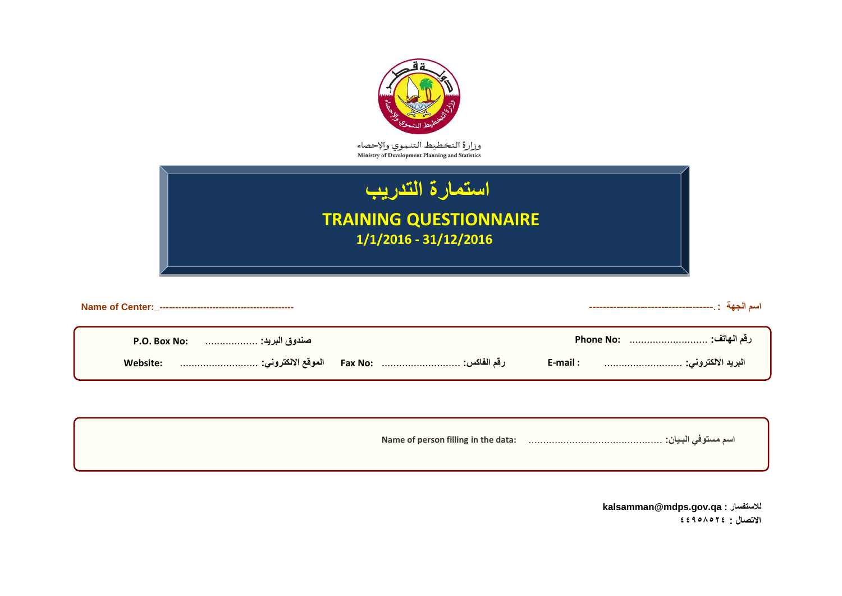| وزارة التخطيط التنموي والإحصاء<br>Ministry of Development Planning and Statistics |  |
|-----------------------------------------------------------------------------------|--|
| استمارة التدريب<br><b>TRAINING QUESTIONNAIRE</b><br>$1/1/2016 - 31/12/2016$       |  |

| Name of person filling in the data: |  |
|-------------------------------------|--|
|                                     |  |

**kalsamman@mdps.gov.qa : لالستفسار االتصال : 44958524**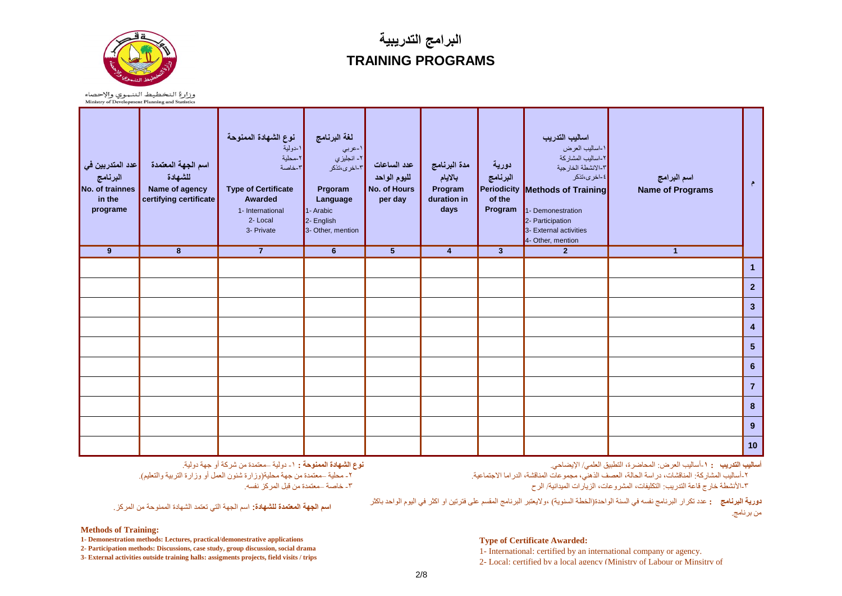

## **البرامج التدريبية TRAINING PROGRAMS**

وزارة التخطيط التنموي والإحصاء<br>Ministry of Development Planning and Statistics

| عدد المتدربين ف <i>ي</i>  <br>البرنامج<br>No. of trainnes<br>in the<br>programe<br>$\overline{9}$ | اسم الجهة المعتمدة<br>للشهادة<br>Name of agency<br>certifying certificate<br>$\overline{\mathbf{8}}$ | نوع الشهادة الممنوحة<br>۱-دولية<br>۲-محلية<br>٣-خاصة<br><b>Type of Certificate</b><br>Awarded<br>1- International<br>2-Local<br>3- Private<br>$\overline{7}$ | لغة البرنامج<br>۱-عربي<br>۲- انجليز ي<br>۳-اخری،تذکر<br>Prgoram<br>Language<br>1- Arabic<br>2- English<br>3- Other, mention<br>$6\phantom{1}$ | عدد الساعات<br>لليوم الواحد<br><b>No. of Hours</b><br>per day<br>$\overline{5}$ | مدة البرنامج<br>بالأيام<br>Program<br>duration in<br>days<br>$\overline{4}$ | دورية<br>البرنامج<br>Periodicity<br>of the<br>Program<br>$\overline{\mathbf{3}}$ | اساليب التدريب<br>١-اساليب العرض<br>٢-اساليب المشاركة<br>٢-الانشطة الخارجية<br>٤-اخرى،تذكر<br>Methods of Training<br>1- Demonestration<br>2- Participation<br>3- External activities<br>4- Other, mention<br>$\overline{2}$ | اسم البرامج<br><b>Name of Programs</b><br>$\overline{1}$ | $\epsilon$              |
|---------------------------------------------------------------------------------------------------|------------------------------------------------------------------------------------------------------|--------------------------------------------------------------------------------------------------------------------------------------------------------------|-----------------------------------------------------------------------------------------------------------------------------------------------|---------------------------------------------------------------------------------|-----------------------------------------------------------------------------|----------------------------------------------------------------------------------|-----------------------------------------------------------------------------------------------------------------------------------------------------------------------------------------------------------------------------|----------------------------------------------------------|-------------------------|
|                                                                                                   |                                                                                                      |                                                                                                                                                              |                                                                                                                                               |                                                                                 |                                                                             |                                                                                  |                                                                                                                                                                                                                             |                                                          | $\mathbf{1}$            |
|                                                                                                   |                                                                                                      |                                                                                                                                                              |                                                                                                                                               |                                                                                 |                                                                             |                                                                                  |                                                                                                                                                                                                                             |                                                          | 2 <sup>2</sup>          |
|                                                                                                   |                                                                                                      |                                                                                                                                                              |                                                                                                                                               |                                                                                 |                                                                             |                                                                                  |                                                                                                                                                                                                                             |                                                          | $\mathbf{3}$            |
|                                                                                                   |                                                                                                      |                                                                                                                                                              |                                                                                                                                               |                                                                                 |                                                                             |                                                                                  |                                                                                                                                                                                                                             |                                                          | $\overline{\mathbf{4}}$ |
|                                                                                                   |                                                                                                      |                                                                                                                                                              |                                                                                                                                               |                                                                                 |                                                                             |                                                                                  |                                                                                                                                                                                                                             |                                                          | $\overline{\mathbf{5}}$ |
|                                                                                                   |                                                                                                      |                                                                                                                                                              |                                                                                                                                               |                                                                                 |                                                                             |                                                                                  |                                                                                                                                                                                                                             |                                                          | $\bf 6$                 |
|                                                                                                   |                                                                                                      |                                                                                                                                                              |                                                                                                                                               |                                                                                 |                                                                             |                                                                                  |                                                                                                                                                                                                                             |                                                          | $\overline{7}$          |
|                                                                                                   |                                                                                                      |                                                                                                                                                              |                                                                                                                                               |                                                                                 |                                                                             |                                                                                  |                                                                                                                                                                                                                             |                                                          | $\bf{8}$                |
|                                                                                                   |                                                                                                      |                                                                                                                                                              |                                                                                                                                               |                                                                                 |                                                                             |                                                                                  |                                                                                                                                                                                                                             |                                                          | 9                       |
|                                                                                                   |                                                                                                      |                                                                                                                                                              |                                                                                                                                               |                                                                                 |                                                                             |                                                                                  |                                                                                                                                                                                                                             |                                                          | 10                      |

**أساليب التدريب :** -**1**أسبليب العزض: الوحبضزة, التطبيق العلوي/ اإليضبحي.

٢-أساليب المشاركة: المناقشات، در اسة الحالة، العصف الذهني، مجموعات المناقشة، الدر اما الاجتماعية. ٣-الأنشطة خارج قاعة التدريب: التكليفات، المشروعات، الزيارات الميدانية/ الرح

<mark>دورية البرنامج :</mark> عدد تكرار البرنامج نفسه في السنة الواحدة(الخطة السنوية) ،ولايعتبر البرنامج المقسم على فترتين او اكثر في اليوم الواحد باكثر من برنامج.

**اسم الجهة المعتمدة للشهادة:** اسم الجهة التً تعتمد الشهادة الممنوحة من المركز.

-<br>1- محلية –معتمدة من جهة محلية(وزارة شئون العمل أو وزارة التزبية والتعليم)

**نىع الشهادة الممنىحت :** -1 دوليت –هعتوذة هي شزكت أو خهت دوليت.

-3 خبصت –هعتوذة هي قبل الوزكش ًفسه.

**Methods of Training:** 

**1- Demonestration methods: Lectures, practical/demonestrative applications**

**2- Participation methods: Discussions, case study, group discussion, social drama 3- External activities outside training halls: assigments projects, field visits / trips**

#### **Type of Certificate Awarded:**

1- International: certified by an international company or agency.

2- Local: certified by a local agency (Ministry of Labour or Minsitry of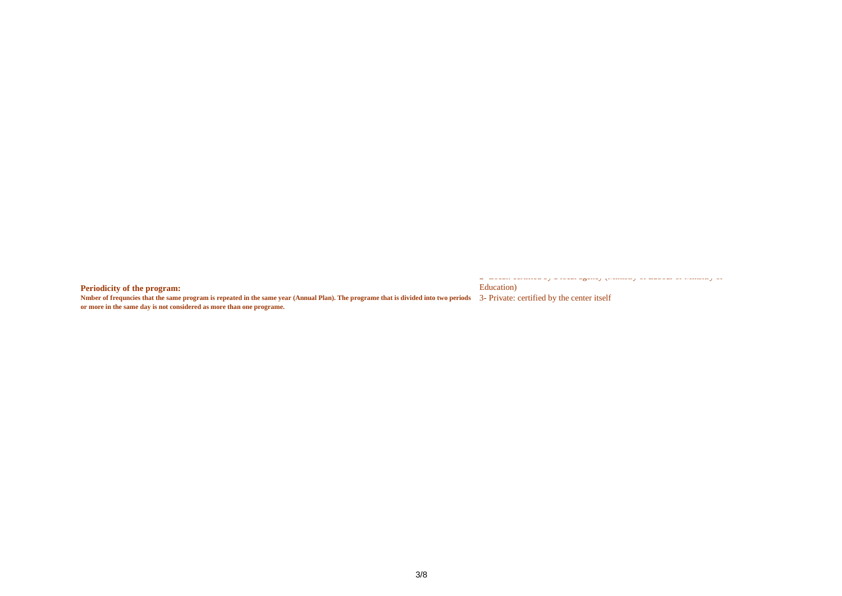**Periodicity of the program:** 

Education)

Nmber of frequncies that the same program is repeated in the same year (Annual Plan). The programe that is divided into two periods 3- Private: certified by the center itself **or more in the same day is not considered as more than one programe.** 

2- Local: certified by a local agency (Ministry of Labour or Minsitry of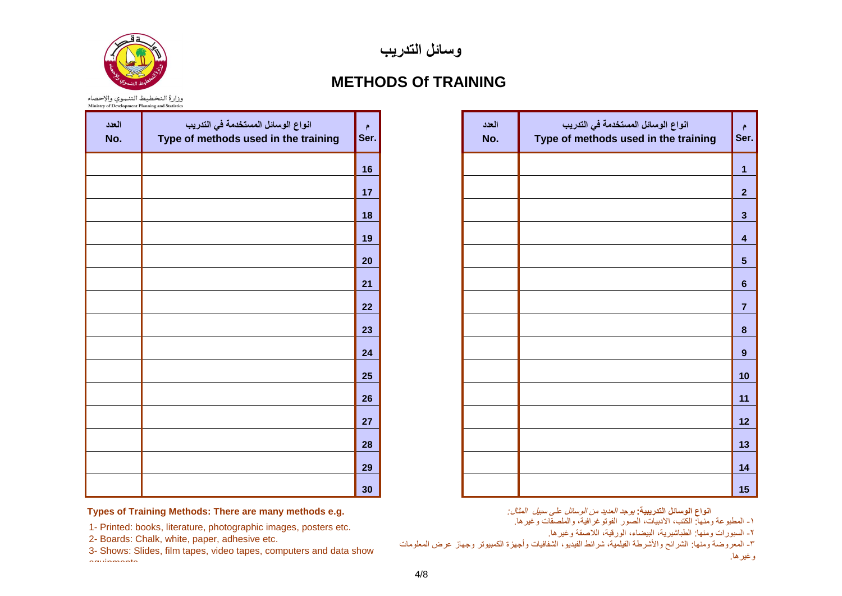

**وسائل التدريب**

### **METHODS Of TRAINING**

وزارة التخطيط التنموي والإحصاء<br>Ministry of Development Planning and Statistics

| العدد<br>No. | انواع الوسائل المستخدمة في التدريب<br>Type of methods used in the training | م<br>Ser. |
|--------------|----------------------------------------------------------------------------|-----------|
|              |                                                                            | 16        |
|              |                                                                            | 17        |
|              |                                                                            | 18        |
|              |                                                                            | 19        |
|              |                                                                            | 20        |
|              |                                                                            | 21        |
|              |                                                                            | 22        |
|              |                                                                            | 23        |
|              |                                                                            | 24        |
|              |                                                                            | 25        |
|              |                                                                            | 26        |
|              |                                                                            | 27        |
|              |                                                                            | 28        |
|              |                                                                            | 29        |
|              |                                                                            | 30        |

| $\ddot{\tau}$<br>ser. | العدد<br>No. | انواع الوسائل المستخدمة في التدريب<br>Type of methods used in the training | ۴<br>Ser.               |
|-----------------------|--------------|----------------------------------------------------------------------------|-------------------------|
| 16                    |              |                                                                            | $\overline{\mathbf{1}}$ |
| 17                    |              |                                                                            | $\overline{\mathbf{2}}$ |
| 18                    |              |                                                                            | $\mathbf{3}$            |
| 19                    |              |                                                                            | $\overline{\mathbf{4}}$ |
| 20                    |              |                                                                            | $\overline{\mathbf{5}}$ |
| 21                    |              |                                                                            | $\bf 6$                 |
| 22                    |              |                                                                            | $\overline{7}$          |
| 23                    |              |                                                                            | $\pmb{8}$               |
| 24                    |              |                                                                            | $\boldsymbol{9}$        |
| 25                    |              |                                                                            | 10                      |
| 26                    |              |                                                                            | 11                      |
| 27                    |              |                                                                            | 12                      |
| 28                    |              |                                                                            | 13                      |
| 29                    |              |                                                                            | 14                      |
| 30                    |              |                                                                            | 15                      |

**انواع الوسائل التدرٌبٌة:** يوجد العديد من الوسائل على سبيل المثال*:*

1- المطبوعة ومنها: الكتب، الأدبيات، الصور الفوتوغرافية، والملصقات وغيرها.

-2 السبورات ومنها: الطباشٌرٌة, البٌضاء, الورقٌة, الالصقة وغٌرها.

-3 المعروضة ومنها: الشرائح واألشرطة الفٌلمٌة, شرائط الفٌدٌو, الشفافٌات وأجهزة الكمبٌوتر وجهاز عرض المعلومات وغير ها.

#### **Types of Training Methods: There are many methods e.g.**

1- Printed: books, literature, photographic images, posters etc.

2- Boards: Chalk, white, paper, adhesive etc.

3- Shows: Slides, film tapes, video tapes, computers and data show equipments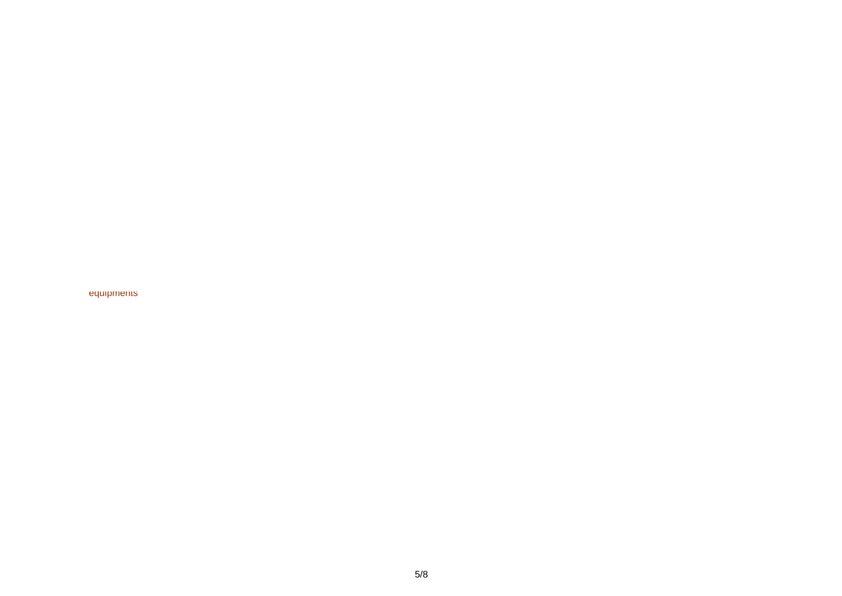equipments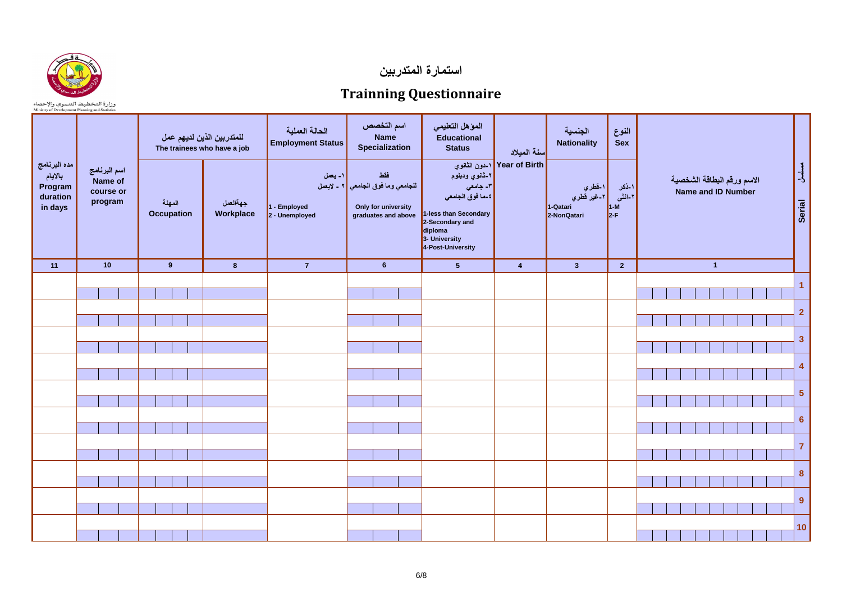

**استمارة المتدربين**

## **Trainning Questionnaire**

وزارة التخطيط التنموي والإحصاء<br>Ministry of Development Planning and Statistics

| مده البرنامج<br>بالأيام<br>Program<br>duration<br>in days | اسم البرنامج<br>Name of<br>course or<br>program | للمتدربين الذين لديهم عمل<br>The trainees who have a job<br>المهنة<br>Occupation | جهةالعمل<br>Workplace | الحالة العملية<br><b>Employment Status</b><br> ۱- یعمل<br>1 - Employed<br>$2 -$ Unemployed | اسم التخصص<br><b>Name</b><br>Specialization<br>فقط<br>للجا <i>معي</i> وما فوق الجا <i>معي</i>   ۲ <sub>-</sub> لايعمل<br>Only for university<br>graduates and above | الموهل التعليمي<br><b>Educational</b><br><b>Status</b><br>٢-ئانوي ودبلوم<br>٣- جامع <i>ي</i><br>٤-ما فوق الجامع <i>ي</i><br>1-less than Secondary<br>2-Secondary and<br>diploma<br>3- University<br>4-Post-University | <mark>ا</mark> سنة الميلاد<br>Year of Birth   ا-دون الثانوي | الجنسية<br><b>Nationality</b><br>۱ <mark>۔فطر</mark> <i>ي</i><br>۲۔غير قطر <i>ي</i><br>1-Qatari<br>2-NonQatari | النوع<br><b>Sex</b><br> ١_ذكر<br>۲-انشی<br>$\vert$ 1-M<br>$2-F$ | الاسم ورقم البطاقة الشخصية<br>Name and ID Number | مسلسل<br>Serial         |
|-----------------------------------------------------------|-------------------------------------------------|----------------------------------------------------------------------------------|-----------------------|--------------------------------------------------------------------------------------------|---------------------------------------------------------------------------------------------------------------------------------------------------------------------|-----------------------------------------------------------------------------------------------------------------------------------------------------------------------------------------------------------------------|-------------------------------------------------------------|----------------------------------------------------------------------------------------------------------------|-----------------------------------------------------------------|--------------------------------------------------|-------------------------|
| 11                                                        | 10                                              | 9                                                                                | $\boldsymbol{8}$      | $\mathbf{7}$                                                                               | 6 <sup>1</sup>                                                                                                                                                      | 5 <sup>5</sup>                                                                                                                                                                                                        | $\overline{4}$                                              | 3 <sup>1</sup>                                                                                                 | $\overline{2}$                                                  | $\overline{1}$                                   |                         |
|                                                           |                                                 |                                                                                  |                       |                                                                                            |                                                                                                                                                                     |                                                                                                                                                                                                                       |                                                             |                                                                                                                |                                                                 |                                                  | $\mathbf{1}$            |
|                                                           |                                                 |                                                                                  |                       |                                                                                            |                                                                                                                                                                     |                                                                                                                                                                                                                       |                                                             |                                                                                                                |                                                                 |                                                  | $\overline{2}$          |
|                                                           |                                                 |                                                                                  |                       |                                                                                            |                                                                                                                                                                     |                                                                                                                                                                                                                       |                                                             |                                                                                                                |                                                                 |                                                  | 3                       |
|                                                           |                                                 |                                                                                  |                       |                                                                                            |                                                                                                                                                                     |                                                                                                                                                                                                                       |                                                             |                                                                                                                |                                                                 |                                                  | $\overline{\mathbf{4}}$ |
|                                                           |                                                 |                                                                                  |                       |                                                                                            |                                                                                                                                                                     |                                                                                                                                                                                                                       |                                                             |                                                                                                                |                                                                 |                                                  | $\overline{\mathbf{5}}$ |
|                                                           |                                                 |                                                                                  |                       |                                                                                            |                                                                                                                                                                     |                                                                                                                                                                                                                       |                                                             |                                                                                                                |                                                                 |                                                  | $6\phantom{a}$          |
|                                                           |                                                 |                                                                                  |                       |                                                                                            |                                                                                                                                                                     |                                                                                                                                                                                                                       |                                                             |                                                                                                                |                                                                 |                                                  | $\overline{7}$          |
|                                                           |                                                 |                                                                                  |                       |                                                                                            |                                                                                                                                                                     |                                                                                                                                                                                                                       |                                                             |                                                                                                                |                                                                 |                                                  | 8                       |
|                                                           |                                                 |                                                                                  |                       |                                                                                            |                                                                                                                                                                     |                                                                                                                                                                                                                       |                                                             |                                                                                                                |                                                                 |                                                  | $\boldsymbol{9}$        |
|                                                           |                                                 |                                                                                  |                       |                                                                                            |                                                                                                                                                                     |                                                                                                                                                                                                                       |                                                             |                                                                                                                |                                                                 |                                                  | 10                      |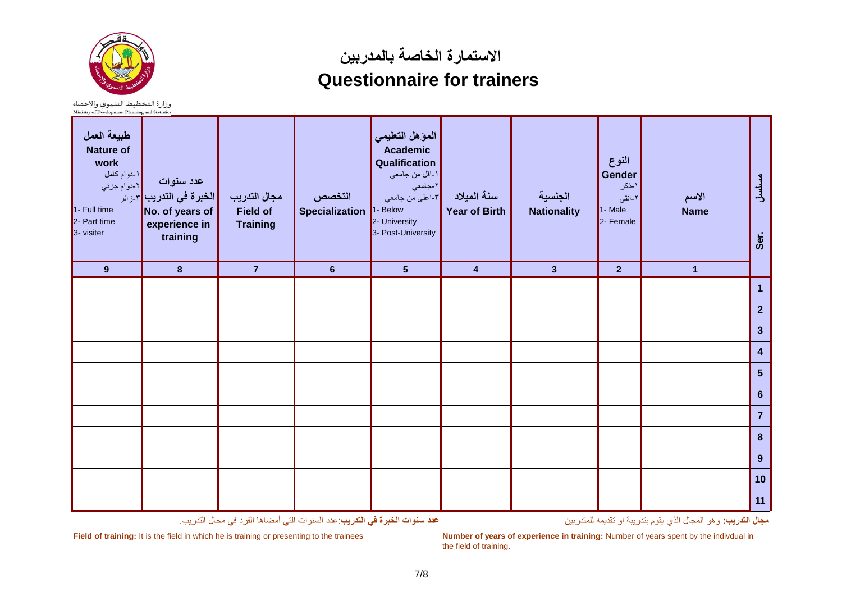

**االستمارة الخاصة بالمدربين**

# **Questionnaire for trainers**

وزارة التخطيط التنموي والإحصاء<br>Ministry of Development Planning and Statistics

| طبيعة العمل<br><b>Nature of</b><br>work<br>١-دوام كامل<br> ۲ـدوام جزئي<br>1- Full time<br>2- Part time<br>3- visiter | عدد سنوات<br> الخبرة في التدريب  <sub>7-زائر</sub> '<br>No. of years of<br>experience in<br>training | مجال التدريب<br><b>Field of</b><br><b>Training</b> | التخصص<br><b>Specialization</b> | المؤهل التعليمي<br>Academic<br>Qualification<br>١-اقل من جامعي<br>٢-جامعي<br>-<br>- اعلي من جامعي<br>1- Below<br>2- University<br>3- Post-University | سنة الميلاد<br><b>Year of Birth</b> | الجنسية<br><b>Nationality</b> | النوع<br>Gender<br>۱۔ذکر<br>۲-انشی<br>1- Male<br>2- Female | الاسم<br><b>Name</b> | مسلسل<br>Ser.    |
|----------------------------------------------------------------------------------------------------------------------|------------------------------------------------------------------------------------------------------|----------------------------------------------------|---------------------------------|------------------------------------------------------------------------------------------------------------------------------------------------------|-------------------------------------|-------------------------------|------------------------------------------------------------|----------------------|------------------|
| 9                                                                                                                    | $\bf{8}$                                                                                             | $\overline{7}$                                     | $6\phantom{a}$                  | 5 <sup>5</sup>                                                                                                                                       | $\overline{4}$                      | $\overline{\mathbf{3}}$       | $\overline{2}$                                             | $\mathbf{1}$         |                  |
|                                                                                                                      |                                                                                                      |                                                    |                                 |                                                                                                                                                      |                                     |                               |                                                            |                      | $\overline{1}$   |
|                                                                                                                      |                                                                                                      |                                                    |                                 |                                                                                                                                                      |                                     |                               |                                                            |                      | $\overline{2}$   |
|                                                                                                                      |                                                                                                      |                                                    |                                 |                                                                                                                                                      |                                     |                               |                                                            |                      | $\mathbf{3}$     |
|                                                                                                                      |                                                                                                      |                                                    |                                 |                                                                                                                                                      |                                     |                               |                                                            |                      | $\boldsymbol{4}$ |
|                                                                                                                      |                                                                                                      |                                                    |                                 |                                                                                                                                                      |                                     |                               |                                                            |                      | $\sqrt{5}$       |
|                                                                                                                      |                                                                                                      |                                                    |                                 |                                                                                                                                                      |                                     |                               |                                                            |                      | $6\phantom{1}6$  |
|                                                                                                                      |                                                                                                      |                                                    |                                 |                                                                                                                                                      |                                     |                               |                                                            |                      | $\overline{7}$   |
|                                                                                                                      |                                                                                                      |                                                    |                                 |                                                                                                                                                      |                                     |                               |                                                            |                      | $\boldsymbol{8}$ |
|                                                                                                                      |                                                                                                      |                                                    |                                 |                                                                                                                                                      |                                     |                               |                                                            |                      | $\boldsymbol{9}$ |
|                                                                                                                      |                                                                                                      |                                                    |                                 |                                                                                                                                                      |                                     |                               |                                                            |                      | 10               |
|                                                                                                                      |                                                                                                      |                                                    |                                 |                                                                                                                                                      |                                     |                               |                                                            |                      | 11               |

**مجال التدرٌب:** وهو المجال الذي ٌقوم بتدرٌبة او تقدٌمه للمتدربٌن **عدد سنوات الخبرة فً التدرٌب**:عدد السنوات التً أمضاها الفرد فً مجال التدرٌب.

**Field of training:** It is the field in which he is training or presenting to the trainees **Number of years of experience in training:** Number of years spent by the indivdual in the field of training.